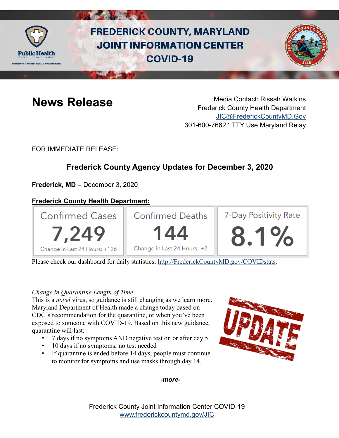

# **FREDERICK COUNTY, MARYLAND JOINT INFORMATION CENTER COVID-19**



**News Release** Media Contact: Rissah Watkins Frederick County Health Department [JIC@FrederickCountyMD.Gov](mailto:JIC@FrederickCountyMD.Gov) 301-600-7662 • TTY Use Maryland Relay

FOR IMMEDIATE RELEASE:

## **Frederick County Agency Updates for December 3, 2020**

**Frederick, MD –** December 3, 2020

### **Frederick County Health Department:**



Please check our dashboard for daily statistics: [http://FrederickCountyMD.gov/COVIDstats.](http://frederickcountymd.gov/COVIDstats)

#### *Change in Quarantine Length of Time*

This is a *novel* virus, so guidance is still changing as we learn more. Maryland Department of Health made a change today based on CDC's recommendation for the quarantine, or when you've been exposed to someone with COVID-19. Based on this new guidance, quarantine will last:

- 7 days if no symptoms AND negative test on or after day 5
- 10 days if no symptoms, no test needed
- If quarantine is ended before 14 days, people must continue to monitor for symptoms and use masks through day 14.



*-more-*

Frederick County Joint Information Center COVID-19 [www.frederickcountymd.gov/JIC](https://frederickcountymd.gov/JIC)